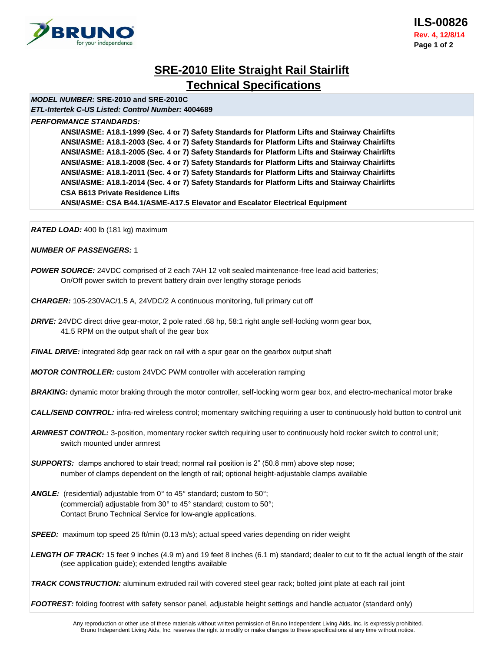

# **SRE-2010 Elite Straight Rail Stairlift Technical Specifications**

## *MODEL NUMBER:* **SRE-2010 and SRE-2010C**

*ETL-Intertek C-US Listed: Control Number:* **4004689**

## *PERFORMANCE STANDARDS:*

**ANSI/ASME: A18.1-1999 (Sec. 4 or 7) Safety Standards for Platform Lifts and Stairway Chairlifts ANSI/ASME: A18.1-2003 (Sec. 4 or 7) Safety Standards for Platform Lifts and Stairway Chairlifts ANSI/ASME: A18.1-2005 (Sec. 4 or 7) Safety Standards for Platform Lifts and Stairway Chairlifts ANSI/ASME: A18.1-2008 (Sec. 4 or 7) Safety Standards for Platform Lifts and Stairway Chairlifts ANSI/ASME: A18.1-2011 (Sec. 4 or 7) Safety Standards for Platform Lifts and Stairway Chairlifts ANSI/ASME: A18.1-2014 (Sec. 4 or 7) Safety Standards for Platform Lifts and Stairway Chairlifts CSA B613 Private Residence Lifts**

**ANSI/ASME: CSA B44.1/ASME-A17.5 Elevator and Escalator Electrical Equipment**

*RATED LOAD:* 400 lb (181 kg) maximum

## *NUMBER OF PASSENGERS:* 1

*POWER SOURCE:* 24VDC comprised of 2 each 7AH 12 volt sealed maintenance-free lead acid batteries; On/Off power switch to prevent battery drain over lengthy storage periods

*CHARGER:* 105-230VAC/1.5 A, 24VDC/2 A continuous monitoring, full primary cut off

*DRIVE:* 24VDC direct drive gear-motor, 2 pole rated .68 hp, 58:1 right angle self-locking worm gear box, 41.5 RPM on the output shaft of the gear box

*FINAL DRIVE:* integrated 8dp gear rack on rail with a spur gear on the gearbox output shaft

*MOTOR CONTROLLER:* custom 24VDC PWM controller with acceleration ramping

**BRAKING:** dynamic motor braking through the motor controller, self-locking worm gear box, and electro-mechanical motor brake

*CALL/SEND CONTROL:* infra-red wireless control; momentary switching requiring a user to continuously hold button to control unit

*ARMREST CONTROL:* 3-position, momentary rocker switch requiring user to continuously hold rocker switch to control unit; switch mounted under armrest

- **SUPPORTS:** clamps anchored to stair tread; normal rail position is 2" (50.8 mm) above step nose; number of clamps dependent on the length of rail; optional height-adjustable clamps available
- **ANGLE:** (residential) adjustable from 0° to 45° standard; custom to 50°; (commercial) adjustable from 30° to 45° standard; custom to 50°; Contact Bruno Technical Service for low-angle applications.

*SPEED:*maximum top speed 25 ft/min (0.13 m/s); actual speed varies depending on rider weight

*LENGTH OF TRACK:* 15 feet 9 inches (4.9 m) and 19 feet 8 inches (6.1 m) standard; dealer to cut to fit the actual length of the stair (see application guide); extended lengths available

*TRACK CONSTRUCTION:* aluminum extruded rail with covered steel gear rack; bolted joint plate at each rail joint

*FOOTREST:* folding footrest with safety sensor panel, adjustable height settings and handle actuator (standard only)